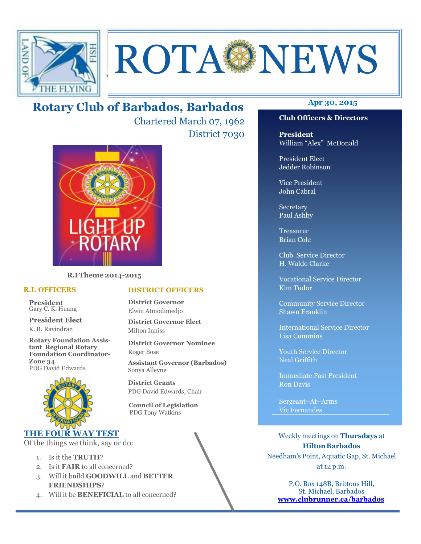

# ROTA NEWS

# **Apr 30, 2015 Rotary Club of Barbados, Barbados**

Chartered March 07, 1962 District 7030



**R.I Theme 2014-2015** 

### **R.I. OFFICERS**

**President** Gary C. K. Huang

**President Elect** K. R. Ravindran

**Rotary Foundation Assistant Regional Rotary Foundation Coordinator-Zone 34**  PDG David Edwards



# **THE FOUR WAY TEST**

Of the things we think, say or do:

- 1. Is it the **TRUTH**?
- 2. Is it **FAIR** to all concerned?
- 3. Will it build **GOODWILL** and **BETTER FRIENDSHIPS**?
- 4. Will it be **BENEFICIAL** to all concerned?

### **Club Officers & Directors**

**President** William "Alex" McDonald

President Elect Jedder Robinson

Vice President John Cabral

Secretary Paul Ashby

Treasurer Brian Cole

Club Service Director H. Waldo Clarke

Vocational Service Director Kim Tudor

Community Service Director Shawn Franklin

International Service Director Lisa Cummins

Youth Service Director Neal Griffith

Immediate Past President Ron Davis

Sergeant–At–Arms Vic Fernandes

Weekly meetings on **Thursdays** at **Hilton Barbados** Needham's Point, Aquatic Gap, St. Michael at 12 p.m.

P.O. Box 148B, Brittons Hill, St. Michael, Barbados **www.clubrunner.ca/barbados**

### **DISTRICT OFFICERS**

**District Governor** Elwin Atmodimedjo

**District Governor Elect** Milton Inniss

**District Governor Nominee**  Roger Bose

**Assistant Governor (Barbados)** Sonya Alleyne

**District Grants**  PDG David Edwards, Chair

 **Council of Legislation**  PDG Tony Watkins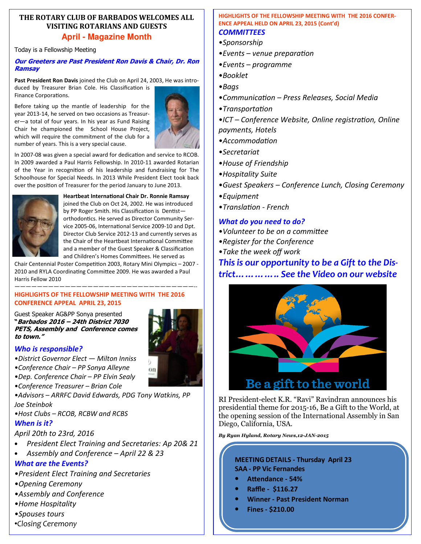### **THE ROTARY CLUB OF BARBADOS WELCOMES ALL VISITING ROTARIANS AND GUESTS April - Magazine Month**

Today is a Fellowship Meeting

### **Our Greeters are Past President Ron Davis & Chair, Dr. Ron Ramsay**

**Past President Ron Davis** joined the Club on April 24, 2003, He was introduced by Treasurer Brian Cole. His Classification is Finance Corporations.

Before taking up the mantle of leadership for the year 2013-14, he served on two occasions as Treasurer—a total of four years. In his year as Fund Raising Chair he championed the School House Project, which will require the commitment of the club for a number of years. This is a very special cause.



In 2007-08 was given a special award for dedication and service to RCOB. In 2009 awarded a Paul Harris Fellowship. In 2010-11 awarded Rotarian of the Year in recognition of his leadership and fundraising for The Schoolhouse for Special Needs. In 2013 While President Elect took back over the position of Treasurer for the period January to June 2013.



**Heartbeat International Chair Dr. Ronnie Ramsay** joined the Club on Oct 24, 2002. He was introduced by PP Roger Smith. His Classification is Dentistorthodontics. He served as Director Community Service 2005-06, International Service 2009-10 and Dpt. Director Club Service 2012-13 and currently serves as the Chair of the Heartbeat International Committee and a member of the Guest Speaker & Classification and Children's Homes Committees. He served as

Chair Centennial Poster Competition 2003, Rotary Mini Olympics - 2007 -2010 and RYLA Coordinating Committee 2009. He was awarded a Paul Harris Fellow 2010

### ————————————————————————————————-- **HIGHLIGHTS OF THE FELLOWSHIP MEETING WITH THE 2016 CONFERENCE APPEAL APRIL 23, 2015**

Guest Speaker AG&PP Sonya presented **"Barbados 2016 – 24th District 7030 PETS, Assembly and Conference comes to town."**



# *Who is responsible?*

- •*District Governor Elect Milton Inniss*
- •*Conference Chair PP Sonya Alleyne*
- •*Dep. Conference Chair PP Elvin Sealy*
- •*Conference Treasurer Brian Cole*
- •*Advisors ARRFC David Edwards, PDG Tony Watkins, PP Joe Steinbok*
- •*Host Clubs RCOB, RCBW and RCBS*

# *When is it?*

*April 20th to 23rd, 2016* 

- *President Elect Training and Secretaries: Ap 20& 21*
- *Assembly and Conference April 22 & 23*

# *What are the Events?*

- •*President Elect Training and Secretaries*
- •*Opening Ceremony*
- •*Assembly and Conference*
- •*Home Hospitality*
- •*Spouses tours*
- •*Closing Ceremony*

### **HIGHLIGHTS OF THE FELLOWSHIP MEETING WITH THE 2016 CONFER-ENCE APPEAL HELD ON APRIL 23, 2015 (Cont'd)**  *COMMITTEES*

- 
- •*Sponsorship*
- •**Events** venue preparation
- •*Events programme*
- •*Booklet*
- •*Bags*
- •*Communica4on Press Releases, Social Media*
- •*Transporta4on*
- •*ICT* Conference Website, Online registration, Online *payments, Hotels*
- •*Accommoda4on*
- •*Secretariat*
- •*House of Friendship*
- •*Hospitality Suite*
- •*Guest Speakers Conference Lunch, Closing Ceremony*
- •*Equipment*
- •*Transla4on French*

# *What do you need to do?*

- •*Volunteer to be on a committee*
- •*Register for the Conference*
- •*Take the week off work*

# *This is our opportunity to be a Gift to the District………….. See the Video on our website*



RI President-elect K.R. "Ravi" Ravindran announces his presidential theme for 2015-16, Be a Gift to the World, at the opening session of the International Assembly in San Diego, California, USA.

*By Ryan Hyland, Rotary News,12-JAN-2015*

# **MEETING DETAILS - Thursday April 23 SAA - PP Vic Fernandes**

- Attendance 54%
- **Raffle \$116.27**
- **Winner Past President Norman**
- **Fines \$210.00**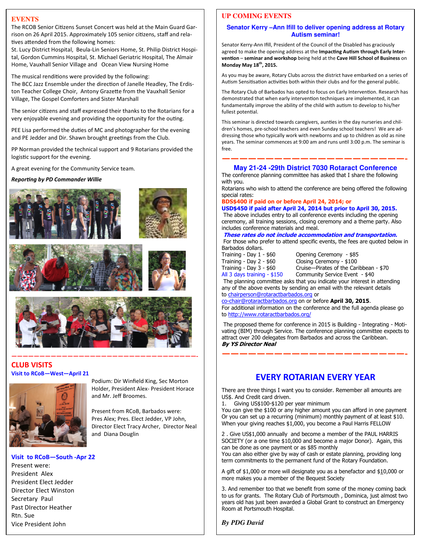### **EVENTS**

The RCOB Senior Citizens Sunset Concert was held at the Main Guard Garrison on 26 April 2015. Approximately 105 senior citizens, staff and relatives attended from the following homes:

St. Lucy District Hospital, Beula-Lin Seniors Home, St. Philip District Hospital, Gordon Cummins Hospital, St. Michael Geriatric Hospital, The Almair Home, Vauxhall Senior Village and Ocean View Nursing Home

The musical renditions were provided by the following: The BCC Jazz Ensemble under the direction of Janelle Headley, The Erdiston Teacher College Choir, Antony Grazette from the Vauxhall Senior Village, The Gospel Comforters and Sister Marshall

The senior citizens and staff expressed their thanks to the Rotarians for a very enjoyable evening and providing the opportunity for the outing.

PEE Lisa performed the duties of MC and photographer for the evening and PE Jedder and Dir. Shawn brought greetings from the Club.

PP Norman provided the technical support and 9 Rotarians provided the logistic support for the evening.

A great evening for the Community Service team.

**Reporting by PD Commander Willie** 







### **—————————————————————————————————- CLUB VISITS Visit to RCoB—West—April 21**



Podium: Dir Winfield King, Sec Morton Holder, President Alex- President Horace and Mr. Jeff Broomes.

Present from RCoB, Barbados were: Pres Alex; Pres. Elect Jedder, VP John, Director Elect Tracy Archer, Director Neal and Diana Douglin

### **Visit to RCoB—South -Apr 22**

 Rtn. Sue Present were: President Alex President Elect Jedder Director Elect Winston Secretary Paul Past DIrector Heather Vice President John

### **UP COMING EVENTS**

### **Senator Kerry –Ann Ifill to deliver opening address at Rotary Autism seminar!**

Senator Kerry-Ann Ifill, President of the Council of the Disabled has graciously agreed to make the opening address at the Impacting Autism through Early Inter**vention** – seminar and workshop being held at the Cave Hill School of Business on **Monday May 18th, 2015.**

As you may be aware, Rotary Clubs across the district have embarked on a series of Autism Sensitisation activities both within their clubs and for the general public.

The Rotary Club of Barbados has opted to focus on Early Intervention. Research has demonstrated that when early intervention techniques are implemented, it can fundamentally improve the ability of the child with autism to develop to his/her fullest potential.

This seminar is directed towards caregivers, aunties in the day nurseries and children's homes, pre-school teachers and even Sunday school teachers! We are addressing those who typically work with newborns and up to children as old as nine years. The seminar commences at 9:00 am and runs until 3:00 p.m. The seminar is free.

### **—————————————————————- May 21-24 -29th District 7030 Rotaract Conference**

The conference planning committee has asked that I share the following with you.

Rotarians who wish to attend the conference are being offered the following special rates:

**BDS\$400 if paid on or before April 24, 2014; or** 

**USD\$450 if paid after April 24, 2014 but prior to April 30, 2015.** 

 The above includes entry to all conference events including the opening ceremony, all training sessions, closing ceremony and a theme party. Also includes conference materials and meal.

**These rates do not include accommodation and transportation.** 

 For those who prefer to attend specific events, the fees are quoted below in Barbados dollars.

Training - Day 1 - \$60 Opening Ceremony - \$85 Training - Day  $2 - $60$ 

Training - Day 3 - \$60 Cruise—Pirates of the Caribbean - \$70<br>All 3 days training - \$150 Community Service Event - \$40 Community Service Event - \$40

 The planning committee asks that you indicate your interest in attending any of the above events by sending an email with the relevant details to chairperson@rotaractbarbados.org or

co-chair@rotaractbarbados.org on or before **April 30, 2015**.

For additional information on the conference and the full agenda please go to http://www.rotaractbarbados.org/

 The proposed theme for conference in 2015 is Building - Integrating - Motivating (BIM) through Service. The conference planning committee expects to attract over 200 delegates from Barbados and across the Caribbean. **By YS Director Neal** 

**—————————————————————-** 

# **EVERY ROTARIAN EVERY YEAR**

There are three things I want you to consider. Remember all amounts are US\$. And Credit card driven.

1. Giving US\$100-\$120 per year minimum

You can give the \$100 or any higher amount you can afford in one payment Or you can set up a recurring (minimum) monthly payment of at least \$10. When your giving reaches \$1,000, you become a Paul Harris FELLOW

2 . Give US\$1,000 annually and become a member of the PAUL HARRIS SOCIETY (or a one time \$10,000 and become a major Donor). Again, this can be done as one payment or as \$85 monthly

You can also either give by way of cash or estate planning, providing long term commitments to the permanent fund of the Rotary Foundation.

A gift of \$1,000 or more will designate you as a benefactor and \$10,000 or more makes you a member of the Bequest Society

3. And remember too that we benefit from some of the money coming back to us for grants. The Rotary Club of Portsmouth , Dominica, just almost two years old has just been awarded a Global Grant to construct an Emergency Room at Portsmouth Hospital.

*By PDG David*